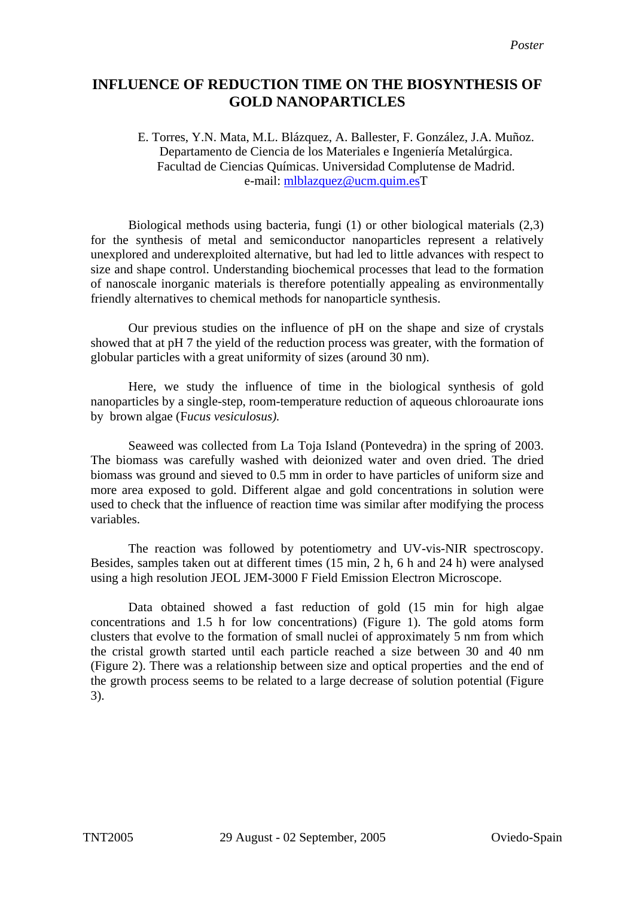## **INFLUENCE OF REDUCTION TIME ON THE BIOSYNTHESIS OF GOLD NANOPARTICLES**

## E. Torres, Y.N. Mata, M.L. Blázquez, A. Ballester, F. González, J.A. Muñoz. Departamento de Ciencia de los Materiales e Ingeniería Metalúrgica. Facultad de Ciencias Químicas. Universidad Complutense de Madrid. e-mail: [mlblazquez@ucm.quim.esT](mailto:mlblazquez@ucm.quim.es)

Biological methods using bacteria, fungi (1) or other biological materials (2,3) for the synthesis of metal and semiconductor nanoparticles represent a relatively unexplored and underexploited alternative, but had led to little advances with respect to size and shape control. Understanding biochemical processes that lead to the formation of nanoscale inorganic materials is therefore potentially appealing as environmentally friendly alternatives to chemical methods for nanoparticle synthesis.

Our previous studies on the influence of pH on the shape and size of crystals showed that at pH 7 the yield of the reduction process was greater, with the formation of globular particles with a great uniformity of sizes (around 30 nm).

Here, we study the influence of time in the biological synthesis of gold nanoparticles by a single-step, room-temperature reduction of aqueous chloroaurate ions by brown algae (F*ucus vesiculosus).*

Seaweed was collected from La Toja Island (Pontevedra) in the spring of 2003. The biomass was carefully washed with deionized water and oven dried. The dried biomass was ground and sieved to 0.5 mm in order to have particles of uniform size and more area exposed to gold. Different algae and gold concentrations in solution were used to check that the influence of reaction time was similar after modifying the process variables.

The reaction was followed by potentiometry and UV-vis-NIR spectroscopy. Besides, samples taken out at different times (15 min, 2 h, 6 h and 24 h) were analysed using a high resolution JEOL JEM-3000 F Field Emission Electron Microscope.

Data obtained showed a fast reduction of gold (15 min for high algae concentrations and 1.5 h for low concentrations) (Figure 1). The gold atoms form clusters that evolve to the formation of small nuclei of approximately 5 nm from which the cristal growth started until each particle reached a size between 30 and 40 nm (Figure 2). There was a relationship between size and optical properties and the end of the growth process seems to be related to a large decrease of solution potential (Figure 3).